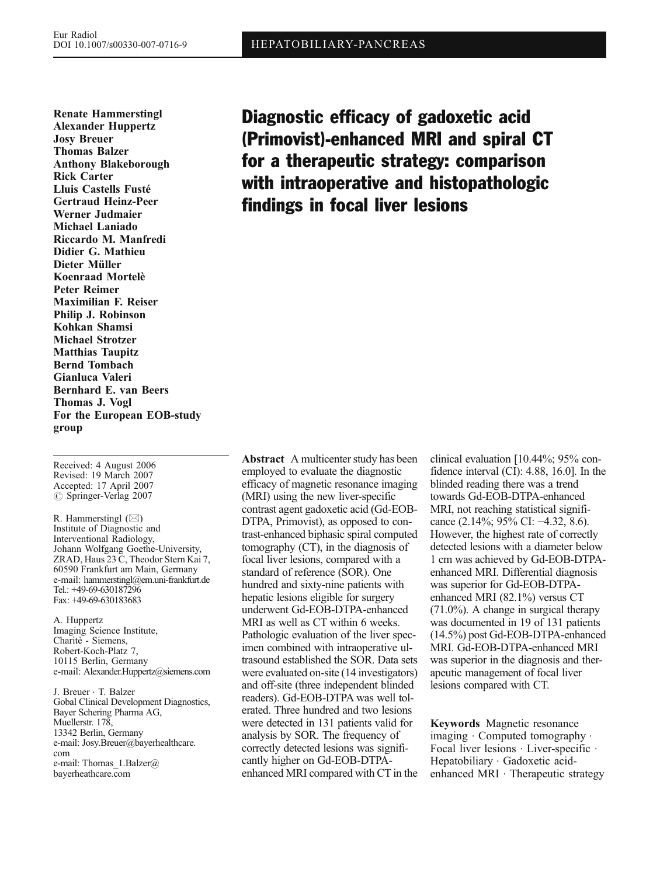Renate Hammerstingl Alexander Huppertz Josy Breuer Thomas Balzer Anthony Blakeborough Rick Carter Lluis Castells Fusté Gertraud Heinz-Peer Werner Judmaier Michael Laniado Riccardo M. Manfredi Didier G. Mathieu Dieter Müller Koenraad Mortelè Peter Reimer Maximilian F. Reiser Philip J. Robinson Kohkan Shamsi Michael Strotzer Matthias Taupitz Bernd Tombach Gianluca Valeri Bernhard E. van Beers Thomas J. Vogl For the European EOB-study group

Received: 4 August 2006 Revised: 19 March 2007 Accepted: 17 April 2007  $\oslash$  Springer-Verlag 2007

R. Hammerstingl (*\**) Institute of Diagnostic and Interventional Radiology, Johann Wolfgang Goethe-University, ZRAD, Haus 23 C, Theodor Stern Kai 7, 60590 Frankfurt am Main, Germany e-mail: hammerstingl@em.uni-frankfurt.de Tel.: +49-69-630187296 Fax: +49-69-630183683

A. Huppertz Imaging Science Institute, Charitè - Siemens, Robert-Koch-Platz 7, 10115 Berlin, Germany e-mail: Alexander.Huppertz@siemens.com

J. Breuer . T. Balzer Gobal Clinical Development Diagnostics, Bayer Schering Pharma AG, Muellerstr. 178, 13342 Berlin, Germany e-mail: Josy.Breuer@bayerhealthcare. com e-mail: Thomas 1.Balzer@ bayerheathcare.com

Abstract A multicenter study has been employed to evaluate the diagnostic efficacy of magnetic resonance imaging (MRI) using the new liver-specific contrast agent gadoxetic acid (Gd-EOB-DTPA, Primovist), as opposed to contrast-enhanced biphasic spiral computed tomography (CT), in the diagnosis of focal liver lesions, compared with a standard of reference (SOR). One hundred and sixty-nine patients with hepatic lesions eligible for surgery underwent Gd-EOB-DTPA-enhanced MRI as well as CT within 6 weeks. Pathologic evaluation of the liver specimen combined with intraoperative ultrasound established the SOR. Data sets were evaluated on-site (14 investigators) and off-site (three independent blinded readers). Gd-EOB-DTPA was well tolerated. Three hundred and two lesions were detected in 131 patients valid for analysis by SOR. The frequency of correctly detected lesions was significantly higher on Gd-EOB-DTPAenhanced MRI compared with CT in the

clinical evaluation [10.44%; 95% confidence interval (CI): 4.88, 16.0]. In the blinded reading there was a trend towards Gd-EOB-DTPA-enhanced MRI, not reaching statistical significance (2.14%; 95% CI: −4.32, 8.6). However, the highest rate of correctly detected lesions with a diameter below 1 cm was achieved by Gd-EOB-DTPAenhanced MRI. Differential diagnosis was superior for Gd-EOB-DTPAenhanced MRI (82.1%) versus CT (71.0%). A change in surgical therapy was documented in 19 of 131 patients (14.5%) post Gd-EOB-DTPA-enhanced MRI. Gd-EOB-DTPA-enhanced MRI was superior in the diagnosis and therapeutic management of focal liver lesions compared with CT.

Keywords Magnetic resonance imaging . Computed tomography . Focal liver lesions · Liver-specific · Hepatobiliary . Gadoxetic acidenhanced MRI · Therapeutic strategy

Diagnostic efficacy of gadoxetic acid (Primovist)-enhanced MRI and spiral CT for a therapeutic strategy: comparison with intraoperative and histopathologic findings in focal liver lesions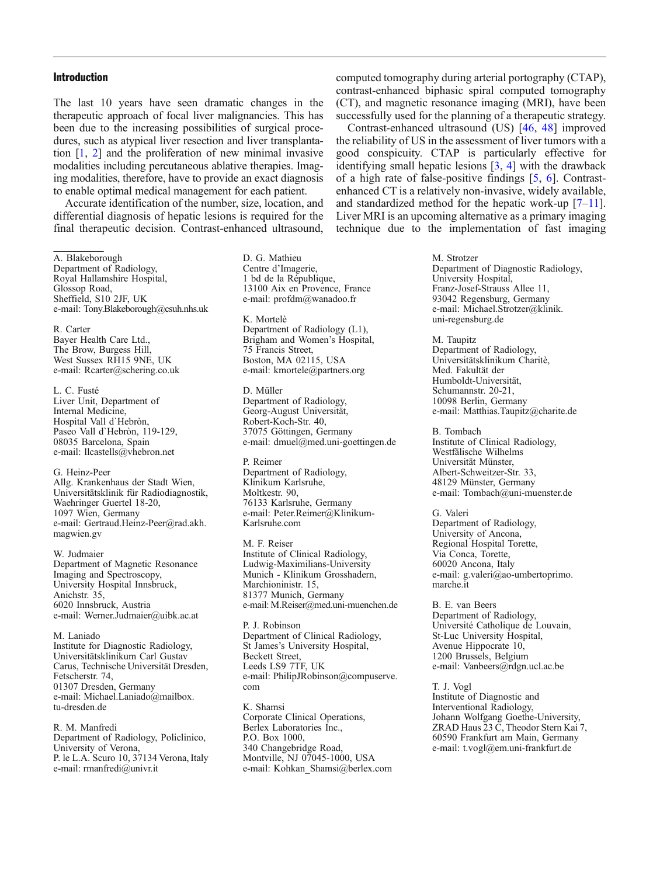## Introduction

The last 10 years have seen dramatic changes in the therapeutic approach of focal liver malignancies. This has been due to the increasing possibilities of surgical procedures, such as atypical liver resection and liver transplantation [\[1,](#page-9-0) [2](#page-9-0)] and the proliferation of new minimal invasive modalities including percutaneous ablative therapies. Imaging modalities, therefore, have to provide an exact diagnosis to enable optimal medical management for each patient.

Accurate identification of the number, size, location, and differential diagnosis of hepatic lesions is required for the final therapeutic decision. Contrast-enhanced ultrasound,

A. Blakeborough Department of Radiology, Royal Hallamshire Hospital, Glossop Road, Sheffield, S10 2JF, UK e-mail: Tony.Blakeborough@csuh.nhs.uk

R. Carter Bayer Health Care Ltd., The Brow, Burgess Hill, West Sussex RH15 9NE, UK e-mail: Rcarter@schering.co.uk

L. C. Fusté Liver Unit, Department of Internal Medicine, Hospital Vall d`Hebròn, Paseo Vall d`Hebròn, 119-129, 08035 Barcelona, Spain e-mail: llcastells@vhebron.net

G. Heinz-Peer Allg. Krankenhaus der Stadt Wien, Universitätsklinik für Radiodiagnostik, Waehringer Guertel 18-20, 1097 Wien, Germany e-mail: Gertraud.Heinz-Peer@rad.akh. magwien.gv

W. Judmaier Department of Magnetic Resonance Imaging and Spectroscopy, University Hospital Innsbruck, Anichstr. 35, 6020 Innsbruck, Austria e-mail: Werner.Judmaier@uibk.ac.at

M. Laniado Institute for Diagnostic Radiology, Universitätsklinikum Carl Gustav Carus, Technische Universität Dresden, Fetscherstr. 74, 01307 Dresden, Germany e-mail: Michael.Laniado@mailbox. tu-dresden.de

R. M. Manfredi Department of Radiology, Policlinico, University of Verona, P. le L.A. Scuro 10, 37134 Verona, Italy e-mail: rmanfredi@univr.it

D. G. Mathieu Centre d'Imagerie, 1 bd de la République, 13100 Aix en Provence, France e-mail: profdm@wanadoo.fr

K. Mortelè Department of Radiology (L1), Brigham and Women's Hospital, 75 Francis Street, Boston, MA 02115, USA e-mail: kmortele@partners.org

D. Müller Department of Radiology, Georg-August Universität, Robert-Koch-Str. 40, 37075 Göttingen, Germany e-mail: dmuel@med.uni-goettingen.de

P. Reimer Department of Radiology, Klinikum Karlsruhe, Moltkestr. 90, 76133 Karlsruhe, Germany e-mail: Peter.Reimer@Klinikum-Karlsruhe.com

M. F. Reiser Institute of Clinical Radiology, Ludwig-Maximilians-University Munich - Klinikum Grosshadern, Marchioninistr. 15, 81377 Munich, Germany e-mail: M.Reiser@med.uni-muenchen.de

P. J. Robinson Department of Clinical Radiology, St James's University Hospital, Beckett Street, Leeds LS9 7TF, UK e-mail: PhilipJRobinson@compuserve. com

K. Shamsi Corporate Clinical Operations, Berlex Laboratories Inc., P.O. Box 1000, 340 Changebridge Road, Montville, NJ 07045-1000, USA e-mail: Kohkan\_Shamsi@berlex.com

computed tomography during arterial portography (CTAP), contrast-enhanced biphasic spiral computed tomography (CT), and magnetic resonance imaging (MRI), have been successfully used for the planning of a therapeutic strategy.

Contrast-enhanced ultrasound (US) [[46](#page-10-0), [48\]](#page-10-0) improved the reliability of US in the assessment of liver tumors with a good conspicuity. CTAP is particularly effective for identifying small hepatic lesions [\[3](#page-9-0), [4\]](#page-9-0) with the drawback of a high rate of false-positive findings [\[5](#page-9-0), [6](#page-9-0)]. Contrastenhanced CT is a relatively non-invasive, widely available, and standardized method for the hepatic work-up [\[7](#page-9-0)–[11](#page-9-0)]. Liver MRI is an upcoming alternative as a primary imaging technique due to the implementation of fast imaging

> M. Strotzer Department of Diagnostic Radiology, University Hospital, Franz-Josef-Strauss Allee 11, 93042 Regensburg, Germany e-mail: Michael.Strotzer@klinik. uni-regensburg.de

M. Taupitz Department of Radiology, Universitätsklinikum Charitè, Med. Fakultät der Humboldt-Universität, Schumannstr. 20-21, 10098 Berlin, Germany e-mail: Matthias.Taupitz@charite.de

B. Tombach Institute of Clinical Radiology, Westfälische Wilhelms Universität Münster, Albert-Schweitzer-Str. 33, 48129 Münster, Germany e-mail: Tombach@uni-muenster.de

G. Valeri Department of Radiology, University of Ancona, Regional Hospital Torette, Via Conca, Torette, 60020 Ancona, Italy e-mail: g.valeri@ao-umbertoprimo. marche.it

B. E. van Beers Department of Radiology, Université Catholique de Louvain, St-Luc University Hospital, Avenue Hippocrate 10, 1200 Brussels, Belgium e-mail: Vanbeers@rdgn.ucl.ac.be

T. J. Vogl Institute of Diagnostic and Interventional Radiology, Johann Wolfgang Goethe-University, ZRAD Haus 23 C, Theodor Stern Kai 7, 60590 Frankfurt am Main, Germany e-mail: t.vogl@em.uni-frankfurt.de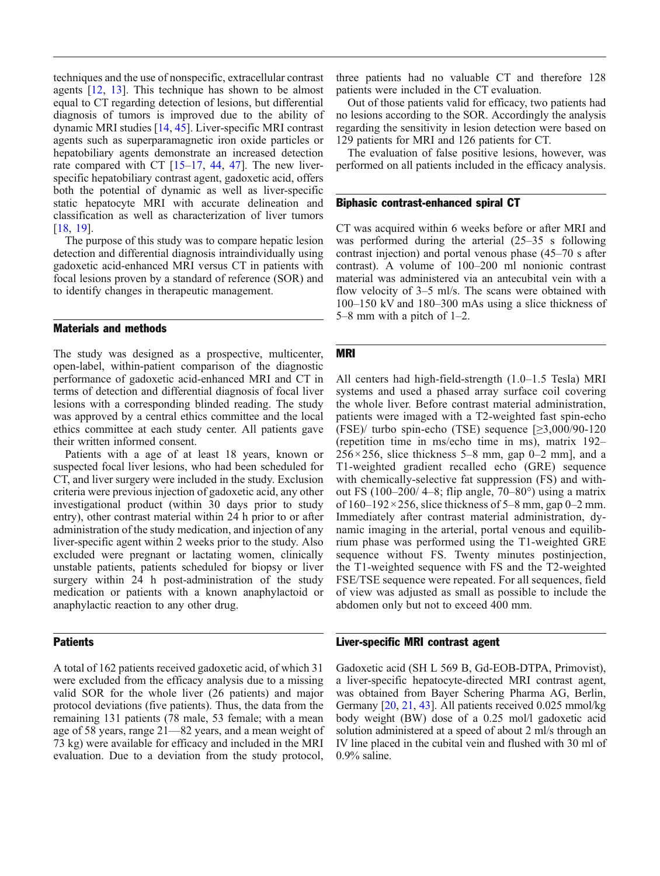techniques and the use of nonspecific, extracellular contrast agents [\[12,](#page-9-0) [13](#page-9-0)]. This technique has shown to be almost equal to CT regarding detection of lesions, but differential diagnosis of tumors is improved due to the ability of dynamic MRI studies [[14](#page-9-0), [45](#page-10-0)]. Liver-specific MRI contrast agents such as superparamagnetic iron oxide particles or hepatobiliary agents demonstrate an increased detection rate compared with CT  $[15-17, 44, 47]$  $[15-17, 44, 47]$  $[15-17, 44, 47]$  $[15-17, 44, 47]$  $[15-17, 44, 47]$  $[15-17, 44, 47]$  $[15-17, 44, 47]$  $[15-17, 44, 47]$ . The new liverspecific hepatobiliary contrast agent, gadoxetic acid, offers both the potential of dynamic as well as liver-specific static hepatocyte MRI with accurate delineation and classification as well as characterization of liver tumors [[18](#page-9-0), [19\]](#page-10-0).

The purpose of this study was to compare hepatic lesion detection and differential diagnosis intraindividually using gadoxetic acid-enhanced MRI versus CT in patients with focal lesions proven by a standard of reference (SOR) and to identify changes in therapeutic management.

## Materials and methods

The study was designed as a prospective, multicenter, open-label, within-patient comparison of the diagnostic performance of gadoxetic acid-enhanced MRI and CT in terms of detection and differential diagnosis of focal liver lesions with a corresponding blinded reading. The study was approved by a central ethics committee and the local ethics committee at each study center. All patients gave their written informed consent.

Patients with a age of at least 18 years, known or suspected focal liver lesions, who had been scheduled for CT, and liver surgery were included in the study. Exclusion criteria were previous injection of gadoxetic acid, any other investigational product (within 30 days prior to study entry), other contrast material within 24 h prior to or after administration of the study medication, and injection of any liver-specific agent within 2 weeks prior to the study. Also excluded were pregnant or lactating women, clinically unstable patients, patients scheduled for biopsy or liver surgery within 24 h post-administration of the study medication or patients with a known anaphylactoid or anaphylactic reaction to any other drug.

## **Patients**

A total of 162 patients received gadoxetic acid, of which 31 were excluded from the efficacy analysis due to a missing valid SOR for the whole liver (26 patients) and major protocol deviations (five patients). Thus, the data from the remaining 131 patients (78 male, 53 female; with a mean age of 58 years, range 21—82 years, and a mean weight of 73 kg) were available for efficacy and included in the MRI evaluation. Due to a deviation from the study protocol,

three patients had no valuable CT and therefore 128 patients were included in the CT evaluation.

Out of those patients valid for efficacy, two patients had no lesions according to the SOR. Accordingly the analysis regarding the sensitivity in lesion detection were based on 129 patients for MRI and 126 patients for CT.

The evaluation of false positive lesions, however, was performed on all patients included in the efficacy analysis.

#### Biphasic contrast-enhanced spiral CT

CT was acquired within 6 weeks before or after MRI and was performed during the arterial (25–35 s following contrast injection) and portal venous phase (45–70 s after contrast). A volume of 100–200 ml nonionic contrast material was administered via an antecubital vein with a flow velocity of 3–5 ml/s. The scans were obtained with 100–150 kV and 180–300 mAs using a slice thickness of 5–8 mm with a pitch of 1–2.

#### MRI

All centers had high-field-strength (1.0–1.5 Tesla) MRI systems and used a phased array surface coil covering the whole liver. Before contrast material administration, patients were imaged with a T2-weighted fast spin-echo (FSE)/ turbo spin-echo (TSE) sequence  $[\geq 3,000/90-120]$ (repetition time in ms/echo time in ms), matrix 192–  $256 \times 256$ , slice thickness 5–8 mm, gap 0–2 mm], and a T1-weighted gradient recalled echo (GRE) sequence with chemically-selective fat suppression (FS) and without FS (100–200/ 4–8; flip angle, 70–80°) using a matrix of  $160-192\times 256$ , slice thickness of 5–8 mm, gap 0–2 mm. Immediately after contrast material administration, dynamic imaging in the arterial, portal venous and equilibrium phase was performed using the T1-weighted GRE sequence without FS. Twenty minutes postinjection, the T1-weighted sequence with FS and the T2-weighted FSE/TSE sequence were repeated. For all sequences, field of view was adjusted as small as possible to include the abdomen only but not to exceed 400 mm.

#### Liver-specific MRI contrast agent

Gadoxetic acid (SH L 569 B, Gd-EOB-DTPA, Primovist), a liver-specific hepatocyte-directed MRI contrast agent, was obtained from Bayer Schering Pharma AG, Berlin, Germany [\[20,](#page-10-0) [21](#page-10-0), [43\]](#page-10-0). All patients received 0.025 mmol/kg body weight (BW) dose of a 0.25 mol/l gadoxetic acid solution administered at a speed of about 2 ml/s through an IV line placed in the cubital vein and flushed with 30 ml of 0.9% saline.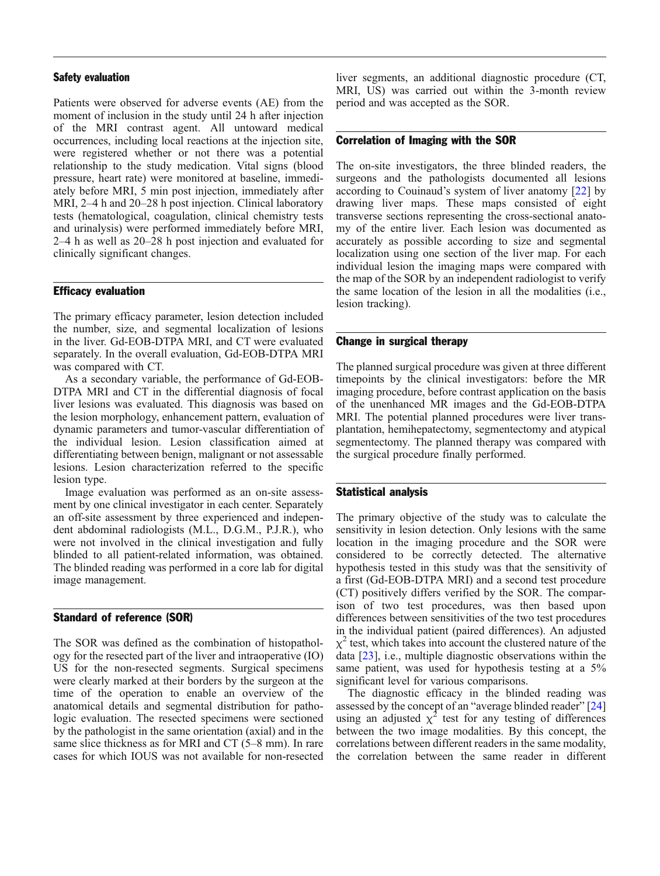## Safety evaluation

Patients were observed for adverse events (AE) from the moment of inclusion in the study until 24 h after injection of the MRI contrast agent. All untoward medical occurrences, including local reactions at the injection site, were registered whether or not there was a potential relationship to the study medication. Vital signs (blood pressure, heart rate) were monitored at baseline, immediately before MRI, 5 min post injection, immediately after MRI, 2–4 h and 20–28 h post injection. Clinical laboratory tests (hematological, coagulation, clinical chemistry tests and urinalysis) were performed immediately before MRI, 2–4 h as well as 20–28 h post injection and evaluated for clinically significant changes.

### Efficacy evaluation

The primary efficacy parameter, lesion detection included the number, size, and segmental localization of lesions in the liver. Gd-EOB-DTPA MRI, and CT were evaluated separately. In the overall evaluation, Gd-EOB-DTPA MRI was compared with CT.

As a secondary variable, the performance of Gd-EOB-DTPA MRI and CT in the differential diagnosis of focal liver lesions was evaluated. This diagnosis was based on the lesion morphology, enhancement pattern, evaluation of dynamic parameters and tumor-vascular differentiation of the individual lesion. Lesion classification aimed at differentiating between benign, malignant or not assessable lesions. Lesion characterization referred to the specific lesion type.

Image evaluation was performed as an on-site assessment by one clinical investigator in each center. Separately an off-site assessment by three experienced and independent abdominal radiologists (M.L., D.G.M., P.J.R.), who were not involved in the clinical investigation and fully blinded to all patient-related information, was obtained. The blinded reading was performed in a core lab for digital image management.

#### Standard of reference (SOR)

The SOR was defined as the combination of histopathology for the resected part of the liver and intraoperative (IO) US for the non-resected segments. Surgical specimens were clearly marked at their borders by the surgeon at the time of the operation to enable an overview of the anatomical details and segmental distribution for pathologic evaluation. The resected specimens were sectioned by the pathologist in the same orientation (axial) and in the same slice thickness as for MRI and CT (5–8 mm). In rare cases for which IOUS was not available for non-resected

liver segments, an additional diagnostic procedure (CT, MRI, US) was carried out within the 3-month review period and was accepted as the SOR.

### Correlation of Imaging with the SOR

The on-site investigators, the three blinded readers, the surgeons and the pathologists documented all lesions according to Couinaud's system of liver anatomy [\[22\]](#page-10-0) by drawing liver maps. These maps consisted of eight transverse sections representing the cross-sectional anatomy of the entire liver. Each lesion was documented as accurately as possible according to size and segmental localization using one section of the liver map. For each individual lesion the imaging maps were compared with the map of the SOR by an independent radiologist to verify the same location of the lesion in all the modalities (i.e., lesion tracking).

### Change in surgical therapy

The planned surgical procedure was given at three different timepoints by the clinical investigators: before the MR imaging procedure, before contrast application on the basis of the unenhanced MR images and the Gd-EOB-DTPA MRI. The potential planned procedures were liver transplantation, hemihepatectomy, segmentectomy and atypical segmentectomy. The planned therapy was compared with the surgical procedure finally performed.

#### Statistical analysis

The primary objective of the study was to calculate the sensitivity in lesion detection. Only lesions with the same location in the imaging procedure and the SOR were considered to be correctly detected. The alternative hypothesis tested in this study was that the sensitivity of a first (Gd-EOB-DTPA MRI) and a second test procedure (CT) positively differs verified by the SOR. The comparison of two test procedures, was then based upon differences between sensitivities of the two test procedures in the individual patient (paired differences). An adjusted  $\chi^2$  test, which takes into account the clustered nature of the data [\[23\]](#page-10-0), i.e., multiple diagnostic observations within the same patient, was used for hypothesis testing at a  $5\%$ significant level for various comparisons.

The diagnostic efficacy in the blinded reading was assessed by the concept of an "average blinded reader" [\[24\]](#page-10-0) using an adjusted  $\chi^2$  test for any testing of differences between the two image modalities. By this concept, the correlations between different readers in the same modality, the correlation between the same reader in different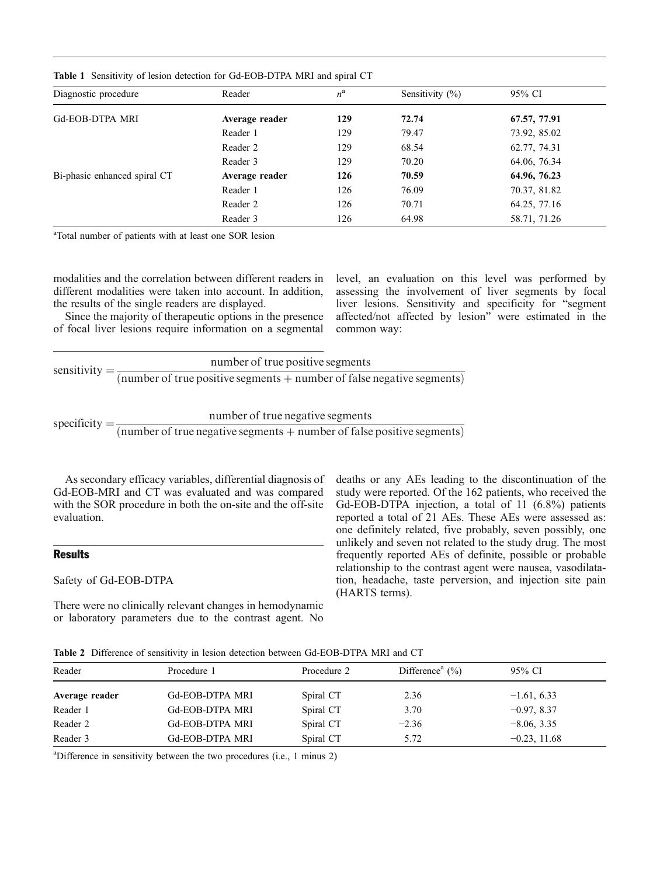| Diagnostic procedure         | Reader         | $n^{\rm a}$ | Sensitivity $(\%)$ | 95% CI       |
|------------------------------|----------------|-------------|--------------------|--------------|
| <b>Gd-EOB-DTPA MRI</b>       | Average reader | 129         | 72.74              | 67.57, 77.91 |
|                              | Reader 1       | 129         | 79.47              | 73.92, 85.02 |
|                              | Reader 2       | 129         | 68.54              | 62.77, 74.31 |
|                              | Reader 3       | 129         | 70.20              | 64.06, 76.34 |
| Bi-phasic enhanced spiral CT | Average reader | 126         | 70.59              | 64.96, 76.23 |
|                              | Reader 1       | 126         | 76.09              | 70.37, 81.82 |
|                              | Reader 2       | 126         | 70.71              | 64.25, 77.16 |
|                              | Reader 3       | 126         | 64.98              | 58.71, 71.26 |

<span id="page-4-0"></span>Table 1 Sensitivity of lesion detection for Gd-EOB-DTPA MRI and spiral CT

<sup>a</sup>Total number of patients with at least one SOR lesion

modalities and the correlation between different readers in different modalities were taken into account. In addition, the results of the single readers are displayed.

Since the majority of therapeutic options in the presence of focal liver lesions require information on a segmental

level, an evaluation on this level was performed by assessing the involvement of liver segments by focal liver lesions. Sensitivity and specificity for "segment affected/not affected by lesion" were estimated in the common way:

$$
sensitivity = \frac{number\ of\ true\ positive\ segments}{(number\ of\ true\ positive\ segments + number\ of\ false\ negative\ segments)}
$$

specificity <sup>¼</sup> number of true negative segments ð Þ number of true negative segments <sup>þ</sup> number of false positive segments

As secondary efficacy variables, differential diagnosis of Gd-EOB-MRI and CT was evaluated and was compared with the SOR procedure in both the on-site and the off-site evaluation.

# **Results**

Safety of Gd-EOB-DTPA

There were no clinically relevant changes in hemodynamic or laboratory parameters due to the contrast agent. No deaths or any AEs leading to the discontinuation of the study were reported. Of the 162 patients, who received the Gd-EOB-DTPA injection, a total of 11 (6.8%) patients reported a total of 21 AEs. These AEs were assessed as: one definitely related, five probably, seven possibly, one unlikely and seven not related to the study drug. The most frequently reported AEs of definite, possible or probable relationship to the contrast agent were nausea, vasodilatation, headache, taste perversion, and injection site pain (HARTS terms).

Table 2 Difference of sensitivity in lesion detection between Gd-EOB-DTPA MRI and CT

| Reader         | Procedure 1            | Procedure 2 | Difference <sup><math>a</math></sup> (%) | 95% CI         |
|----------------|------------------------|-------------|------------------------------------------|----------------|
| Average reader | <b>Gd-EOB-DTPA MRI</b> | Spiral CT   | 2.36                                     | $-1.61, 6.33$  |
| Reader 1       | <b>Gd-EOB-DTPA MRI</b> | Spiral CT   | 3.70                                     | $-0.97, 8.37$  |
| Reader 2       | <b>Gd-EOB-DTPA MRI</b> | Spiral CT   | $-2.36$                                  | $-8.06, 3.35$  |
| Reader 3       | <b>Gd-EOB-DTPA MRI</b> | Spiral CT   | 5.72                                     | $-0.23, 11.68$ |

<sup>a</sup>Difference in sensitivity between the two procedures (i.e., 1 minus 2)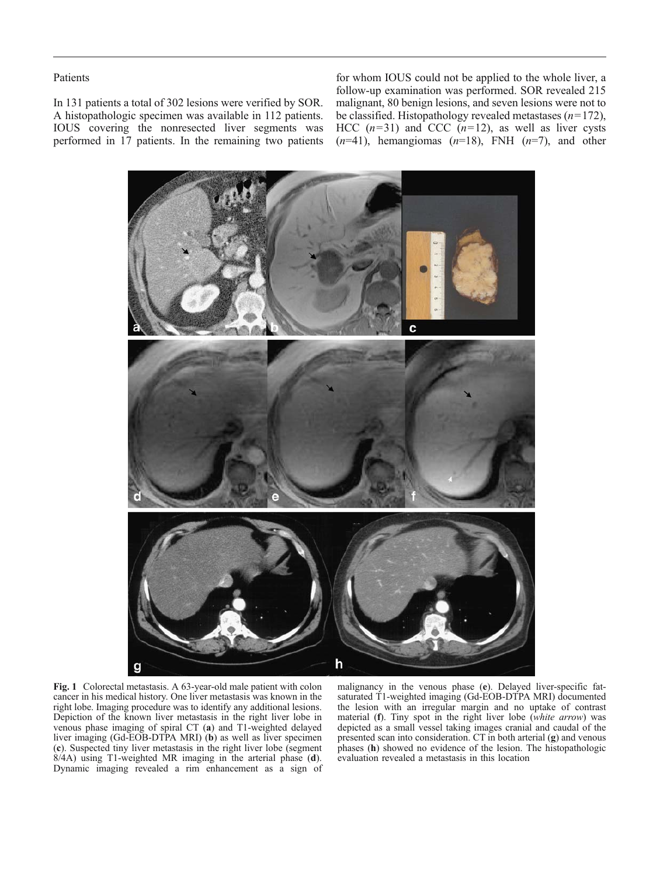<span id="page-5-0"></span>Patients

In 131 patients a total of 302 lesions were verified by SOR. A histopathologic specimen was available in 112 patients. IOUS covering the nonresected liver segments was performed in 17 patients. In the remaining two patients

for whom IOUS could not be applied to the whole liver, a follow-up examination was performed. SOR revealed 215 malignant, 80 benign lesions, and seven lesions were not to be classified. Histopathology revealed metastases  $(n=172)$ , HCC  $(n=31)$  and CCC  $(n=12)$ , as well as liver cysts  $(n=41)$ , hemangiomas  $(n=18)$ , FNH  $(n=7)$ , and other



Fig. 1 Colorectal metastasis. A 63-year-old male patient with colon cancer in his medical history. One liver metastasis was known in the right lobe. Imaging procedure was to identify any additional lesions. Depiction of the known liver metastasis in the right liver lobe in venous phase imaging of spiral CT (a) and T1-weighted delayed liver imaging (Gd-EOB-DTPA MRI) (b) as well as liver specimen (c). Suspected tiny liver metastasis in the right liver lobe (segment 8/4A) using T1-weighted MR imaging in the arterial phase (d). Dynamic imaging revealed a rim enhancement as a sign of

malignancy in the venous phase (e). Delayed liver-specific fatsaturated T1-weighted imaging (Gd-EOB-DTPA MRI) documented the lesion with an irregular margin and no uptake of contrast material (f). Tiny spot in the right liver lobe (white arrow) was depicted as a small vessel taking images cranial and caudal of the presented scan into consideration. CT in both arterial (g) and venous phases (h) showed no evidence of the lesion. The histopathologic evaluation revealed a metastasis in this location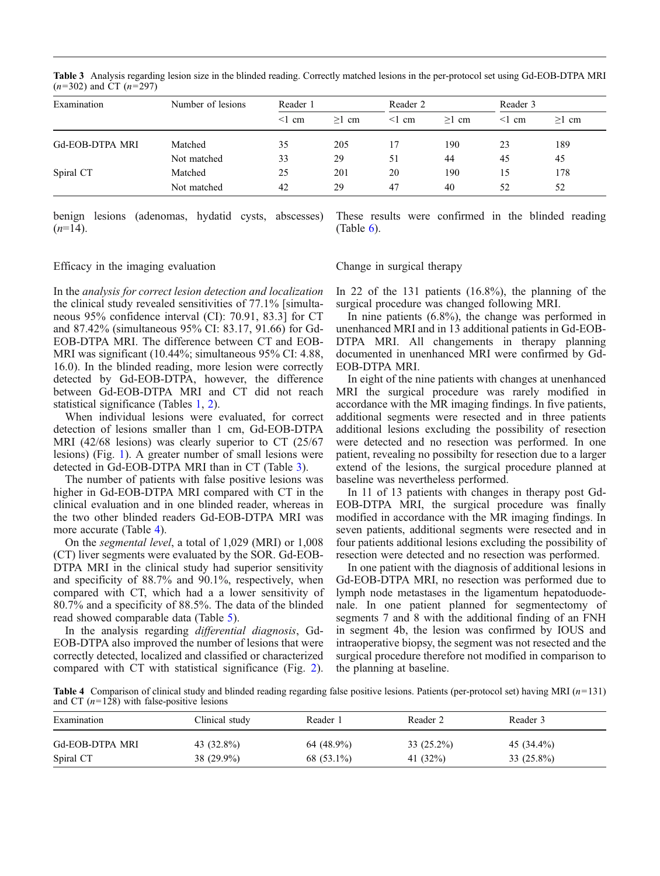| Examination            | Number of lesions | Reader 1    |         | Reader 2    |         | Reader 3    |         |
|------------------------|-------------------|-------------|---------|-------------|---------|-------------|---------|
|                        |                   | $\leq$ 1 cm | $>1$ cm | $\leq$ 1 cm | $>1$ cm | $\leq$ 1 cm | $>1$ cm |
| <b>Gd-EOB-DTPA MRI</b> | Matched           | 35          | 205     | 17          | 190     | 23          | 189     |
|                        | Not matched       | 33          | 29      | 51          | 44      | 45          | 45      |
| Spiral CT              | Matched           | 25          | 201     | 20          | 190     | 15          | 178     |
|                        | Not matched       | 42          | 29      | 47          | 40      | 52          | 52      |

Table 3 Analysis regarding lesion size in the blinded reading. Correctly matched lesions in the per-protocol set using Gd-EOB-DTPA MRI  $(n=302)$  and CT  $(n=297)$ 

benign lesions (adenomas, hydatid cysts, abscesses)  $(n=14)$ .

These results were confirmed in the blinded reading (Table  $6$ ).

## Efficacy in the imaging evaluation

In the analysis for correct lesion detection and localization the clinical study revealed sensitivities of 77.1% [simultaneous 95% confidence interval (CI): 70.91, 83.3] for CT and 87.42% (simultaneous 95% CI: 83.17, 91.66) for Gd-EOB-DTPA MRI. The difference between CT and EOB-MRI was significant (10.44%; simultaneous 95% CI: 4.88, 16.0). In the blinded reading, more lesion were correctly detected by Gd-EOB-DTPA, however, the difference between Gd-EOB-DTPA MRI and CT did not reach statistical significance (Tables [1,](#page-4-0) [2\)](#page-4-0).

When individual lesions were evaluated, for correct detection of lesions smaller than 1 cm, Gd-EOB-DTPA MRI (42/68 lesions) was clearly superior to CT (25/67 lesions) (Fig. [1\)](#page-5-0). A greater number of small lesions were detected in Gd-EOB-DTPA MRI than in CT (Table 3).

The number of patients with false positive lesions was higher in Gd-EOB-DTPA MRI compared with CT in the clinical evaluation and in one blinded reader, whereas in the two other blinded readers Gd-EOB-DTPA MRI was more accurate (Table 4).

On the segmental level, a total of 1,029 (MRI) or 1,008 (CT) liver segments were evaluated by the SOR. Gd-EOB-DTPA MRI in the clinical study had superior sensitivity and specificity of 88.7% and 90.1%, respectively, when compared with CT, which had a a lower sensitivity of 80.7% and a specificity of 88.5%. The data of the blinded read showed comparable data (Table [5](#page-7-0)).

In the analysis regarding differential diagnosis, Gd-EOB-DTPA also improved the number of lesions that were correctly detected, localized and classified or characterized compared with CT with statistical significance (Fig. [2\)](#page-7-0).

Change in surgical therapy

In 22 of the 131 patients (16.8%), the planning of the surgical procedure was changed following MRI.

In nine patients (6.8%), the change was performed in unenhanced MRI and in 13 additional patients in Gd-EOB-DTPA MRI. All changements in therapy planning documented in unenhanced MRI were confirmed by Gd-EOB-DTPA MRI.

In eight of the nine patients with changes at unenhanced MRI the surgical procedure was rarely modified in accordance with the MR imaging findings. In five patients, additional segments were resected and in three patients additional lesions excluding the possibility of resection were detected and no resection was performed. In one patient, revealing no possibilty for resection due to a larger extend of the lesions, the surgical procedure planned at baseline was nevertheless performed.

In 11 of 13 patients with changes in therapy post Gd-EOB-DTPA MRI, the surgical procedure was finally modified in accordance with the MR imaging findings. In seven patients, additional segments were resected and in four patients additional lesions excluding the possibility of resection were detected and no resection was performed.

In one patient with the diagnosis of additional lesions in Gd-EOB-DTPA MRI, no resection was performed due to lymph node metastases in the ligamentum hepatoduodenale. In one patient planned for segmentectomy of segments 7 and 8 with the additional finding of an FNH in segment 4b, the lesion was confirmed by IOUS and intraoperative biopsy, the segment was not resected and the surgical procedure therefore not modified in comparison to the planning at baseline.

**Table 4** Comparison of clinical study and blinded reading regarding false positive lesions. Patients (per-protocol set) having MRI  $(n=131)$ and CT  $(n=128)$  with false-positive lesions

| Examination            | Clinical study | Reader 1   | Reader 2     | Reader 3     |
|------------------------|----------------|------------|--------------|--------------|
| <b>Gd-EOB-DTPA MRI</b> | 43 $(32.8\%)$  | 64 (48.9%) | $33(25.2\%)$ | 45 (34.4%)   |
| Spiral CT              | $38(29.9\%)$   | 68 (53.1%) | 41 (32%)     | $33(25.8\%)$ |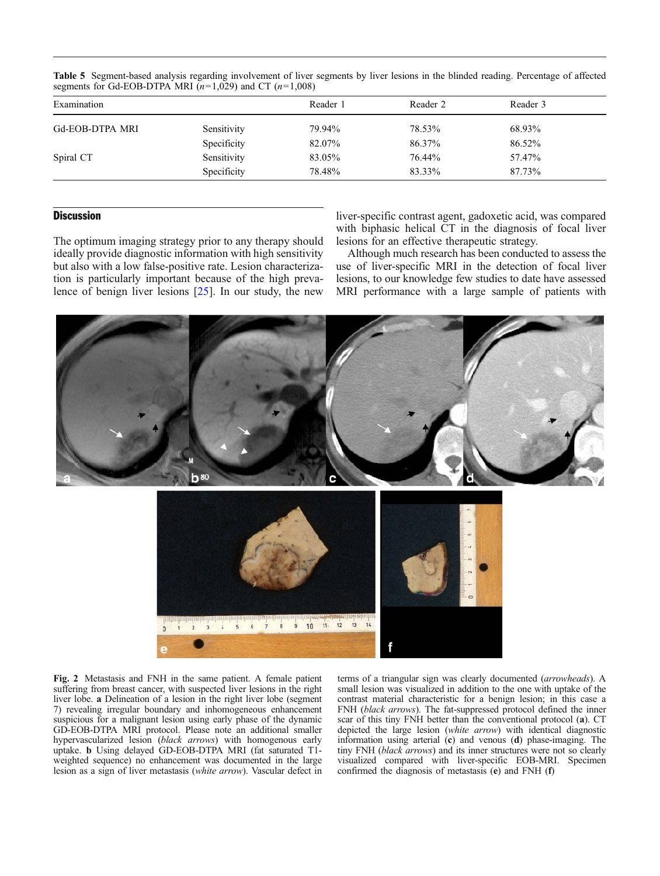<span id="page-7-0"></span>Table 5 Segment-based analysis regarding involvement of liver segments by liver lesions in the blinded reading. Percentage of affected segments for Gd-EOB-DTPA MRI  $(n=1,029)$  and CT  $(n=1,008)$ 

| Examination            |             | Reader 1 | Reader 2 | Reader 3 |  |
|------------------------|-------------|----------|----------|----------|--|
| <b>Gd-EOB-DTPA MRI</b> | Sensitivity | 79.94%   | 78.53%   | 68.93%   |  |
|                        | Specificity | 82.07%   | 86.37%   | 86.52%   |  |
| Spiral CT              | Sensitivity | 83.05%   | 76.44%   | 57.47%   |  |
|                        | Specificity | 78.48%   | 83.33%   | 87.73%   |  |

## **Discussion**

The optimum imaging strategy prior to any therapy should ideally provide diagnostic information with high sensitivity but also with a low false-positive rate. Lesion characterization is particularly important because of the high prevalence of benign liver lesions [\[25\]](#page-10-0). In our study, the new

liver-specific contrast agent, gadoxetic acid, was compared with biphasic helical CT in the diagnosis of focal liver lesions for an effective therapeutic strategy.

Although much research has been conducted to assess the use of liver-specific MRI in the detection of focal liver lesions, to our knowledge few studies to date have assessed MRI performance with a large sample of patients with



Fig. 2 Metastasis and FNH in the same patient. A female patient suffering from breast cancer, with suspected liver lesions in the right liver lobe. a Delineation of a lesion in the right liver lobe (segment 7) revealing irregular boundary and inhomogeneous enhancement suspicious for a malignant lesion using early phase of the dynamic GD-EOB-DTPA MRI protocol. Please note an additional smaller hypervascularized lesion (black arrows) with homogenous early uptake. b Using delayed GD-EOB-DTPA MRI (fat saturated T1 weighted sequence) no enhancement was documented in the large lesion as a sign of liver metastasis (white arrow). Vascular defect in terms of a triangular sign was clearly documented (arrowheads). A small lesion was visualized in addition to the one with uptake of the contrast material characteristic for a benign lesion; in this case a FNH (black arrows). The fat-suppressed protocol defined the inner scar of this tiny FNH better than the conventional protocol (a). CT depicted the large lesion (white arrow) with identical diagnostic information using arterial (c) and venous (d) phase-imaging. The tiny FNH (black arrows) and its inner structures were not so clearly visualized compared with liver-specific EOB-MRI. Specimen confirmed the diagnosis of metastasis (e) and FNH (f)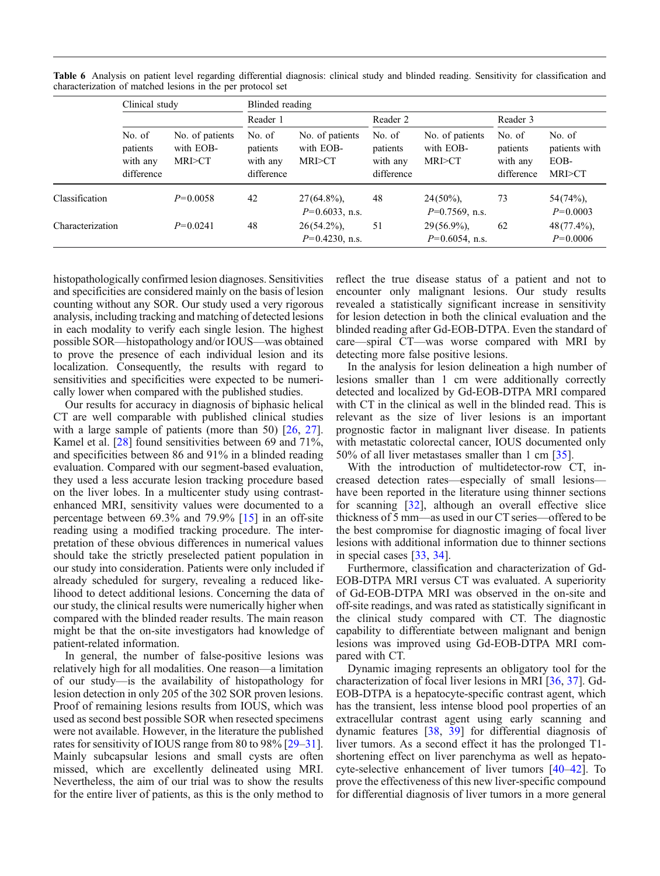|                  | Clinical study                               |                                        | Blinded reading                              |                                        |                                              |                                        |                                              |                                           |
|------------------|----------------------------------------------|----------------------------------------|----------------------------------------------|----------------------------------------|----------------------------------------------|----------------------------------------|----------------------------------------------|-------------------------------------------|
|                  |                                              |                                        | Reader 1                                     |                                        | Reader 2                                     |                                        | Reader 3                                     |                                           |
|                  | No. of<br>patients<br>with any<br>difference | No. of patients<br>with EOB-<br>MRI>CT | No. of<br>patients<br>with any<br>difference | No. of patients<br>with EOB-<br>MRI>CT | No. of<br>patients<br>with any<br>difference | No. of patients<br>with EOB-<br>MRI>CT | No. of<br>patients<br>with any<br>difference | No. of<br>patients with<br>EOB-<br>MRI>CT |
| Classification   |                                              | $P=0.0058$                             | 42                                           | $27(64.8\%)$ ,<br>$P=0.6033$ , n.s.    | 48                                           | $24(50\%)$ ,<br>$P=0.7569$ , n.s.      | 73                                           | $54(74\%)$ ,<br>$P=0.0003$                |
| Characterization |                                              | $P=0.0241$                             | 48                                           | $26(54.2\%)$ ,<br>$P=0.4230$ , n.s.    | 51                                           | $29(56.9\%)$<br>$P=0.6054$ , n.s.      | 62                                           | $48(77.4\%)$ ,<br>$P=0.0006$              |

<span id="page-8-0"></span>Table 6 Analysis on patient level regarding differential diagnosis: clinical study and blinded reading. Sensitivity for classification and characterization of matched lesions in the per protocol set

histopathologically confirmed lesion diagnoses. Sensitivities and specificities are considered mainly on the basis of lesion counting without any SOR. Our study used a very rigorous analysis, including tracking and matching of detected lesions in each modality to verify each single lesion. The highest possible SOR—histopathology and/or IOUS—was obtained to prove the presence of each individual lesion and its localization. Consequently, the results with regard to sensitivities and specificities were expected to be numerically lower when compared with the published studies.

Our results for accuracy in diagnosis of biphasic helical CT are well comparable with published clinical studies with a large sample of patients (more than 50) [\[26,](#page-10-0) [27\]](#page-10-0). Kamel et al. [[28\]](#page-10-0) found sensitivities between 69 and 71%, and specificities between 86 and 91% in a blinded reading evaluation. Compared with our segment-based evaluation, they used a less accurate lesion tracking procedure based on the liver lobes. In a multicenter study using contrastenhanced MRI, sensitivity values were documented to a percentage between 69.3% and 79.9% [\[15\]](#page-9-0) in an off-site reading using a modified tracking procedure. The interpretation of these obvious differences in numerical values should take the strictly preselected patient population in our study into consideration. Patients were only included if already scheduled for surgery, revealing a reduced likelihood to detect additional lesions. Concerning the data of our study, the clinical results were numerically higher when compared with the blinded reader results. The main reason might be that the on-site investigators had knowledge of patient-related information.

In general, the number of false-positive lesions was relatively high for all modalities. One reason—a limitation of our study—is the availability of histopathology for lesion detection in only 205 of the 302 SOR proven lesions. Proof of remaining lesions results from IOUS, which was used as second best possible SOR when resected specimens were not available. However, in the literature the published rates for sensitivity of IOUS range from 80 to 98% [[29](#page-10-0)–[31\]](#page-10-0). Mainly subcapsular lesions and small cysts are often missed, which are excellently delineated using MRI. Nevertheless, the aim of our trial was to show the results for the entire liver of patients, as this is the only method to

reflect the true disease status of a patient and not to encounter only malignant lesions. Our study results revealed a statistically significant increase in sensitivity for lesion detection in both the clinical evaluation and the blinded reading after Gd-EOB-DTPA. Even the standard of care—spiral CT—was worse compared with MRI by detecting more false positive lesions.

In the analysis for lesion delineation a high number of lesions smaller than 1 cm were additionally correctly detected and localized by Gd-EOB-DTPA MRI compared with CT in the clinical as well in the blinded read. This is relevant as the size of liver lesions is an important prognostic factor in malignant liver disease. In patients with metastatic colorectal cancer, IOUS documented only 50% of all liver metastases smaller than 1 cm [[35](#page-10-0)].

With the introduction of multidetector-row CT, increased detection rates—especially of small lesions have been reported in the literature using thinner sections for scanning [[32](#page-10-0)], although an overall effective slice thickness of 5 mm—as used in our CT series—offered to be the best compromise for diagnostic imaging of focal liver lesions with additional information due to thinner sections in special cases [[33](#page-10-0), [34](#page-10-0)].

Furthermore, classification and characterization of Gd-EOB-DTPA MRI versus CT was evaluated. A superiority of Gd-EOB-DTPA MRI was observed in the on-site and off-site readings, and was rated as statistically significant in the clinical study compared with CT. The diagnostic capability to differentiate between malignant and benign lesions was improved using Gd-EOB-DTPA MRI compared with CT.

Dynamic imaging represents an obligatory tool for the characterization of focal liver lesions in MRI [[36](#page-10-0), [37](#page-10-0)]. Gd-EOB-DTPA is a hepatocyte-specific contrast agent, which has the transient, less intense blood pool properties of an extracellular contrast agent using early scanning and dynamic features [\[38,](#page-10-0) [39\]](#page-10-0) for differential diagnosis of liver tumors. As a second effect it has the prolonged T1 shortening effect on liver parenchyma as well as hepatocyte-selective enhancement of liver tumors [\[40](#page-10-0)–[42](#page-10-0)]. To prove the effectiveness of this new liver-specific compound for differential diagnosis of liver tumors in a more general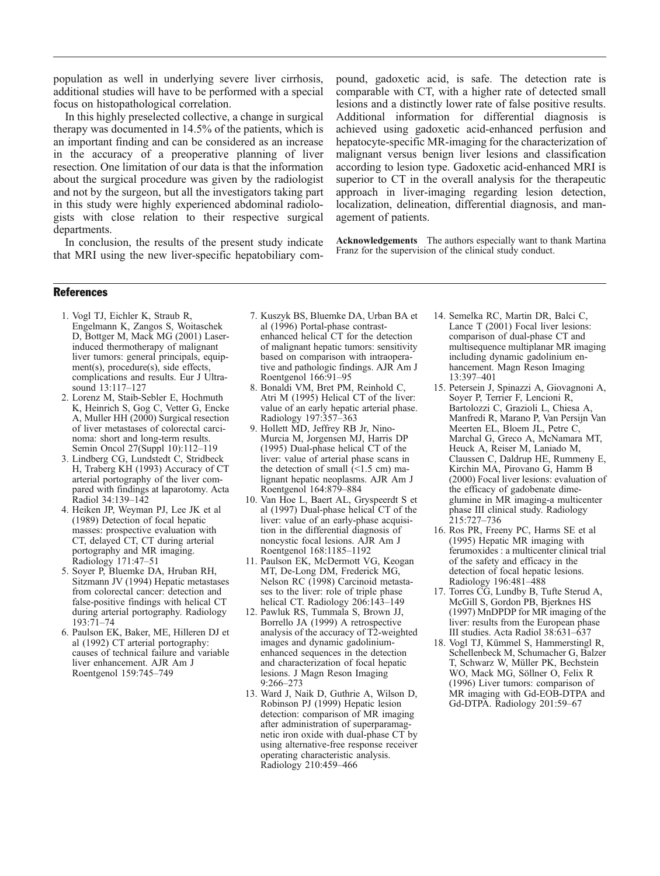<span id="page-9-0"></span>population as well in underlying severe liver cirrhosis, additional studies will have to be performed with a special focus on histopathological correlation.

In this highly preselected collective, a change in surgical therapy was documented in 14.5% of the patients, which is an important finding and can be considered as an increase in the accuracy of a preoperative planning of liver resection. One limitation of our data is that the information about the surgical procedure was given by the radiologist and not by the surgeon, but all the investigators taking part in this study were highly experienced abdominal radiologists with close relation to their respective surgical departments.

In conclusion, the results of the present study indicate that MRI using the new liver-specific hepatobiliary compound, gadoxetic acid, is safe. The detection rate is comparable with CT, with a higher rate of detected small lesions and a distinctly lower rate of false positive results. Additional information for differential diagnosis is achieved using gadoxetic acid-enhanced perfusion and hepatocyte-specific MR-imaging for the characterization of malignant versus benign liver lesions and classification according to lesion type. Gadoxetic acid-enhanced MRI is superior to CT in the overall analysis for the therapeutic approach in liver-imaging regarding lesion detection, localization, delineation, differential diagnosis, and management of patients.

Acknowledgements The authors especially want to thank Martina Franz for the supervision of the clinical study conduct.

### **References**

- 1. Vogl TJ, Eichler K, Straub R, Engelmann K, Zangos S, Woitaschek D, Bottger M, Mack MG (2001) Laserinduced thermotherapy of malignant liver tumors: general principals, equipment(s), procedure(s), side effects, complications and results. Eur J Ultrasound 13:117–127
- 2. Lorenz M, Staib-Sebler E, Hochmuth K, Heinrich S, Gog C, Vetter G, Encke A, Muller HH (2000) Surgical resection of liver metastases of colorectal carcinoma: short and long-term results. Semin Oncol 27(Suppl 10):112–119
- 3. Lindberg CG, Lundstedt C, Stridbeck H, Traberg KH (1993) Accuracy of CT arterial portography of the liver compared with findings at laparotomy. Acta Radiol 34:139–142
- 4. Heiken JP, Weyman PJ, Lee JK et al (1989) Detection of focal hepatic masses: prospective evaluation with CT, delayed CT, CT during arterial portography and MR imaging. Radiology 171:47–51
- 5. Soyer P, Bluemke DA, Hruban RH, Sitzmann JV (1994) Hepatic metastases from colorectal cancer: detection and false-positive findings with helical CT during arterial portography. Radiology 193:71–74
- 6. Paulson EK, Baker, ME, Hilleren DJ et al (1992) CT arterial portography: causes of technical failure and variable liver enhancement. AJR Am J Roentgenol 159:745–749
- 7. Kuszyk BS, Bluemke DA, Urban BA et al (1996) Portal-phase contrastenhanced helical CT for the detection of malignant hepatic tumors: sensitivity based on comparison with intraoperative and pathologic findings. AJR Am J Roentgenol 166:91–95
- 8. Bonaldi VM, Bret PM, Reinhold C, Atri M (1995) Helical CT of the liver: value of an early hepatic arterial phase. Radiology 197:357–363
- 9. Hollett MD, Jeffrey RB Jr, Nino-Murcia M, Jorgensen MJ, Harris DP (1995) Dual-phase helical CT of the liver: value of arterial phase scans in the detection of small  $\overline{(\leq 1.5 \text{ cm})}$  malignant hepatic neoplasms. AJR Am J Roentgenol 164:879–884
- 10. Van Hoe L, Baert AL, Gryspeerdt S et al (1997) Dual-phase helical CT of the liver: value of an early-phase acquisition in the differential diagnosis of noncystic focal lesions. AJR Am J Roentgenol 168:1185–1192
- 11. Paulson EK, McDermott VG, Keogan MT, De-Long DM, Frederick MG, Nelson RC (1998) Carcinoid metastases to the liver: role of triple phase helical CT. Radiology 206:143–149
- 12. Pawluk RS, Tummala S, Brown JJ, Borrello JA (1999) A retrospective analysis of the accuracy of T2-weighted images and dynamic gadoliniumenhanced sequences in the detection and characterization of focal hepatic lesions. J Magn Reson Imaging 9:266–273
- 13. Ward J, Naik D, Guthrie A, Wilson D, Robinson PJ (1999) Hepatic lesion detection: comparison of MR imaging after administration of superparamagnetic iron oxide with dual-phase CT by using alternative-free response receiver operating characteristic analysis. Radiology 210:459–466
- 14. Semelka RC, Martin DR, Balci C, Lance T (2001) Focal liver lesions: comparison of dual-phase CT and multisequence multiplanar MR imaging including dynamic gadolinium enhancement. Magn Reson Imaging 13:397–401
- 15. Petersein J, Spinazzi A, Giovagnoni A, Soyer P, Terrier F, Lencioni R, Bartolozzi C, Grazioli L, Chiesa A, Manfredi R, Marano P, Van Persijn Van Meerten EL, Bloem JL, Petre C, Marchal G, Greco A, McNamara MT, Heuck A, Reiser M, Laniado M, Claussen C, Daldrup HE, Rummeny E, Kirchin MA, Pirovano G, Hamm B (2000) Focal liver lesions: evaluation of the efficacy of gadobenate dimeglumine in MR imaging-a multicenter phase III clinical study. Radiology 215:727–736
- 16. Ros PR, Freeny PC, Harms SE et al (1995) Hepatic MR imaging with ferumoxides : a multicenter clinical trial of the safety and efficacy in the detection of focal hepatic lesions. Radiology 196:481–488
- 17. Torres CG, Lundby B, Tufte Sterud A, McGill S, Gordon PB, Bjerknes HS (1997) MnDPDP for MR imaging of the liver: results from the European phase III studies. Acta Radiol 38:631–637
- 18. Vogl TJ, Kümmel S, Hammerstingl R, Schellenbeck M, Schumacher G, Balzer T, Schwarz W, Müller PK, Bechstein WO, Mack MG, Söllner O, Felix R (1996) Liver tumors: comparison of MR imaging with Gd-EOB-DTPA and Gd-DTPA. Radiology 201:59–67